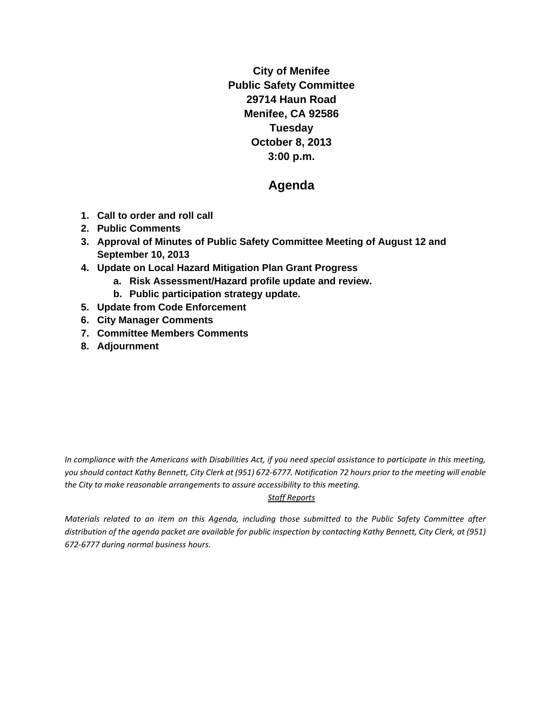**City of Menifee Public Safety Committee 29714 Haun Road Menifee, CA 92586 Tuesday October 8, 2013 3:00 p.m.** 

# **Agenda**

- **1. Call to order and roll call**
- **2. Public Comments**
- **3. Approval of Minutes of Public Safety Committee Meeting of August 12 and September 10, 2013**
- **4. Update on Local Hazard Mitigation Plan Grant Progress** 
	- **a. Risk Assessment/Hazard profile update and review.**
	- **b. Public participation strategy update.**
- **5. Update from Code Enforcement**
- **6. City Manager Comments**
- **7. Committee Members Comments**
- **8. Adjournment**

In compliance with the Americans with Disabilities Act, if you need special assistance to participate in this meeting, you should contact Kathy Bennett, City Clerk at (951) 672-6777. Notification 72 hours prior to the meeting will enable *the City to make reasonable arrangements to assure accessibility to this meeting.* 

### *Staff Reports*

Materials related to an item on this Agenda, including those submitted to the Public Safety Committee after distribution of the agenda packet are available for public inspection by contacting Kathy Bennett, City Clerk, at (951) *672‐6777 during normal business hours.*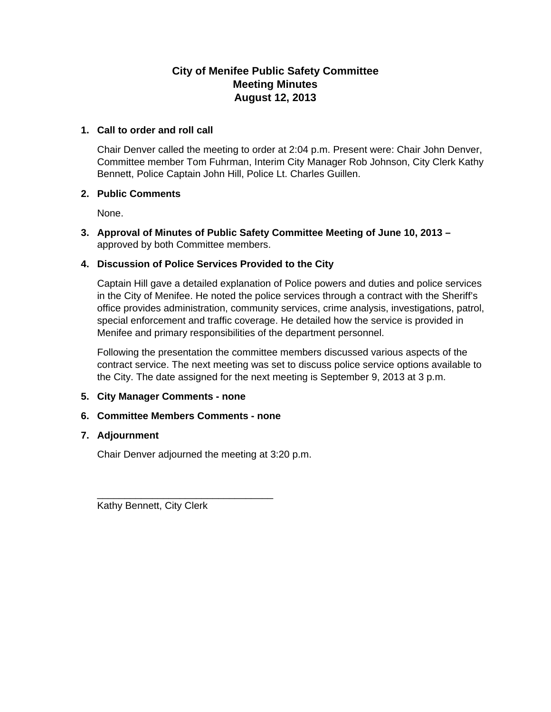## **City of Menifee Public Safety Committee Meeting Minutes August 12, 2013**

### **1. Call to order and roll call**

Chair Denver called the meeting to order at 2:04 p.m. Present were: Chair John Denver, Committee member Tom Fuhrman, Interim City Manager Rob Johnson, City Clerk Kathy Bennett, Police Captain John Hill, Police Lt. Charles Guillen.

### **2. Public Comments**

None.

**3. Approval of Minutes of Public Safety Committee Meeting of June 10, 2013 –**  approved by both Committee members.

### **4. Discussion of Police Services Provided to the City**

Captain Hill gave a detailed explanation of Police powers and duties and police services in the City of Menifee. He noted the police services through a contract with the Sheriff's office provides administration, community services, crime analysis, investigations, patrol, special enforcement and traffic coverage. He detailed how the service is provided in Menifee and primary responsibilities of the department personnel.

Following the presentation the committee members discussed various aspects of the contract service. The next meeting was set to discuss police service options available to the City. The date assigned for the next meeting is September 9, 2013 at 3 p.m.

### **5. City Manager Comments - none**

### **6. Committee Members Comments - none**

\_\_\_\_\_\_\_\_\_\_\_\_\_\_\_\_\_\_\_\_\_\_\_\_\_\_\_\_\_\_\_\_

### **7. Adjournment**

Chair Denver adjourned the meeting at 3:20 p.m.

Kathy Bennett, City Clerk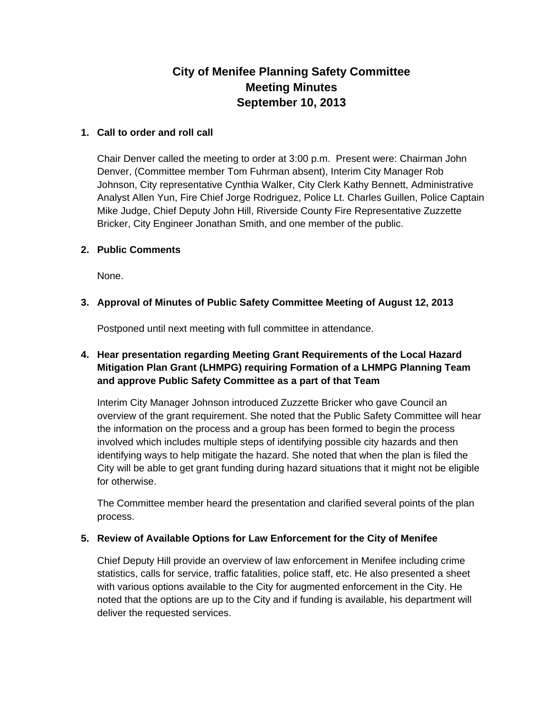# **City of Menifee Planning Safety Committee Meeting Minutes September 10, 2013**

### **1. Call to order and roll call**

Chair Denver called the meeting to order at 3:00 p.m. Present were: Chairman John Denver, (Committee member Tom Fuhrman absent), Interim City Manager Rob Johnson, City representative Cynthia Walker, City Clerk Kathy Bennett, Administrative Analyst Allen Yun, Fire Chief Jorge Rodriguez, Police Lt. Charles Guillen, Police Captain Mike Judge, Chief Deputy John Hill, Riverside County Fire Representative Zuzzette Bricker, City Engineer Jonathan Smith, and one member of the public.

### **2. Public Comments**

None.

### **3. Approval of Minutes of Public Safety Committee Meeting of August 12, 2013**

Postponed until next meeting with full committee in attendance.

## **4. Hear presentation regarding Meeting Grant Requirements of the Local Hazard Mitigation Plan Grant (LHMPG) requiring Formation of a LHMPG Planning Team and approve Public Safety Committee as a part of that Team**

Interim City Manager Johnson introduced Zuzzette Bricker who gave Council an overview of the grant requirement. She noted that the Public Safety Committee will hear the information on the process and a group has been formed to begin the process involved which includes multiple steps of identifying possible city hazards and then identifying ways to help mitigate the hazard. She noted that when the plan is filed the City will be able to get grant funding during hazard situations that it might not be eligible for otherwise.

The Committee member heard the presentation and clarified several points of the plan process.

### **5. Review of Available Options for Law Enforcement for the City of Menifee**

Chief Deputy Hill provide an overview of law enforcement in Menifee including crime statistics, calls for service, traffic fatalities, police staff, etc. He also presented a sheet with various options available to the City for augmented enforcement in the City. He noted that the options are up to the City and if funding is available, his department will deliver the requested services.